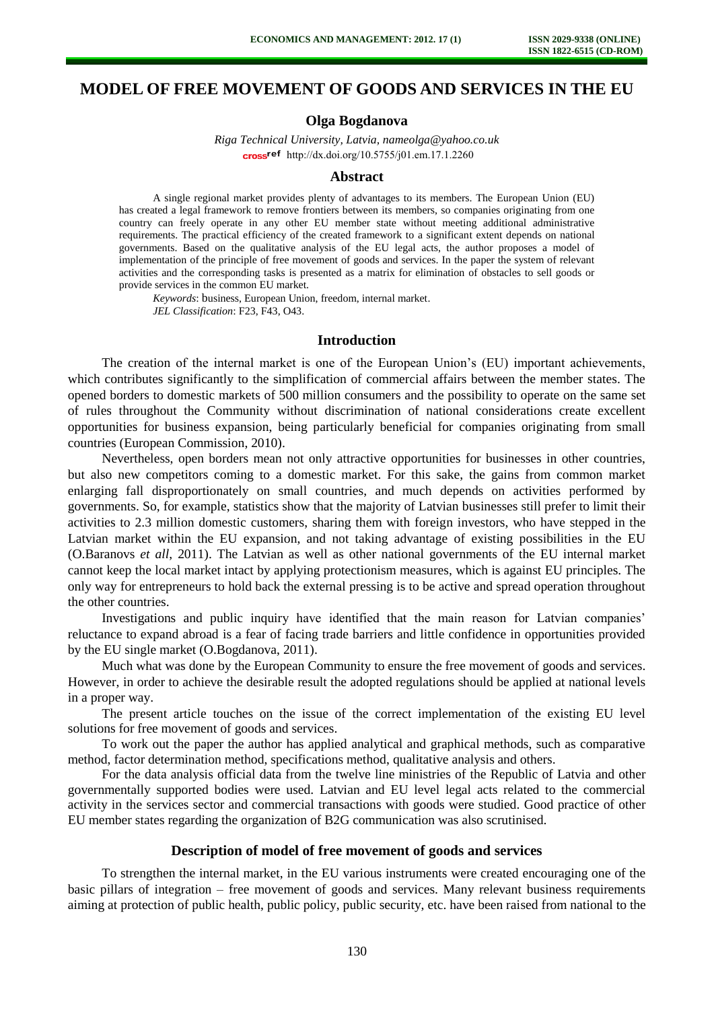# **MODEL OF FREE MOVEMENT OF GOODS AND SERVICES IN THE EU**

## **Olga Bogdanova**

*Riga Technical University, Latvia, nameolga@yahoo.co.uk*  cross<sup>ref</sup> [http://dx.doi.org/10.5755/j01.e](http://dx.doi.org/10.5755/j01.em.17.1.2260)m.17.1.2260

#### **Abstract**

A single regional market provides plenty of advantages to its members. The European Union (EU) has created a legal framework to remove frontiers between its members, so companies originating from one country can freely operate in any other EU member state without meeting additional administrative requirements. The practical efficiency of the created framework to a significant extent depends on national governments. Based on the qualitative analysis of the EU legal acts, the author proposes a model of implementation of the principle of free movement of goods and services. In the paper the system of relevant activities and the corresponding tasks is presented as a matrix for elimination of obstacles to sell goods or provide services in the common EU market.

*Keywords*: business, European Union, freedom, internal market. *JEL Classification*: F23, F43, O43.

#### **Introduction**

The creation of the internal market is one of the European Union's (EU) important achievements, which contributes significantly to the simplification of commercial affairs between the member states. The opened borders to domestic markets of 500 million consumers and the possibility to operate on the same set of rules throughout the Community without discrimination of national considerations create excellent opportunities for business expansion, being particularly beneficial for companies originating from small countries (European Commission, 2010).

Nevertheless, open borders mean not only attractive opportunities for businesses in other countries, but also new competitors coming to a domestic market. For this sake, the gains from common market enlarging fall disproportionately on small countries, and much depends on activities performed by governments. So, for example, statistics show that the majority of Latvian businesses still prefer to limit their activities to 2.3 million domestic customers, sharing them with foreign investors, who have stepped in the Latvian market within the EU expansion, and not taking advantage of existing possibilities in the EU (O.Baranovs *et all*, 2011). The Latvian as well as other national governments of the EU internal market cannot keep the local market intact by applying protectionism measures, which is against EU principles. The only way for entrepreneurs to hold back the external pressing is to be active and spread operation throughout the other countries.

Investigations and public inquiry have identified that the main reason for Latvian companies' reluctance to expand abroad is a fear of facing trade barriers and little confidence in opportunities provided by the EU single market (O.Bogdanova, 2011).

Much what was done by the European Community to ensure the free movement of goods and services. However, in order to achieve the desirable result the adopted regulations should be applied at national levels in a proper way.

The present article touches on the issue of the correct implementation of the existing EU level solutions for free movement of goods and services.

To work out the paper the author has applied analytical and graphical methods, such as comparative method, factor determination method, specifications method, qualitative analysis and others.

For the data analysis official data from the twelve line ministries of the Republic of Latvia and other governmentally supported bodies were used. Latvian and EU level legal acts related to the commercial activity in the services sector and commercial transactions with goods were studied. Good practice of other EU member states regarding the organization of B2G communication was also scrutinised.

#### **Description of model of free movement of goods and services**

To strengthen the internal market, in the EU various instruments were created encouraging one of the basic pillars of integration – free movement of goods and services. Many relevant business requirements aiming at protection of public health, public policy, public security, etc. have been raised from national to the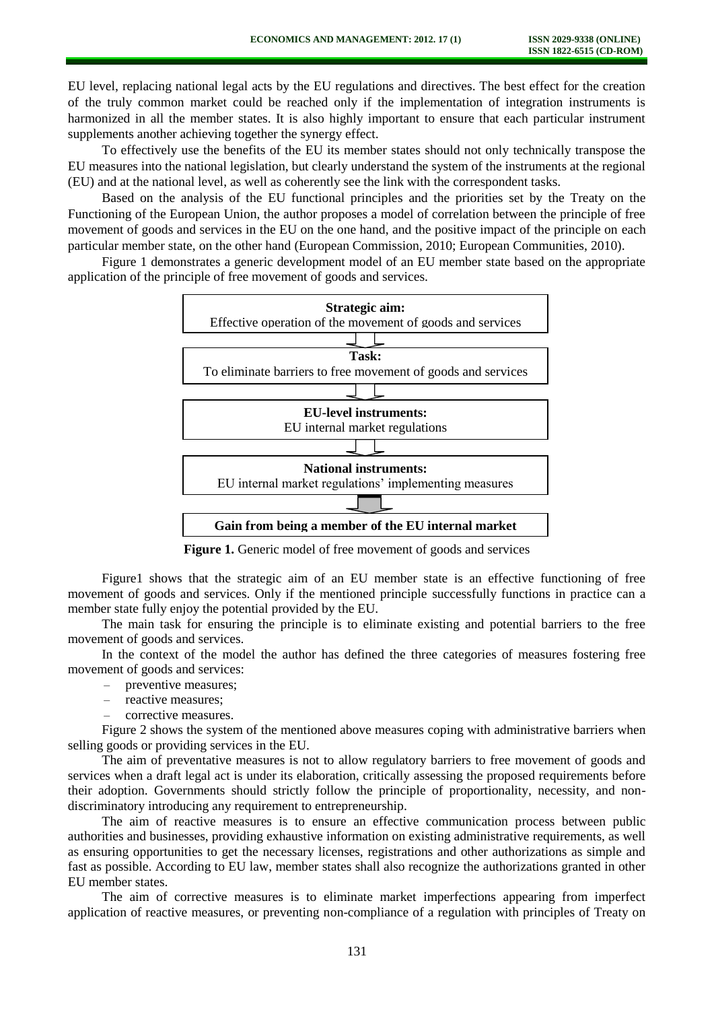EU level, replacing national legal acts by the EU regulations and directives. The best effect for the creation of the truly common market could be reached only if the implementation of integration instruments is harmonized in all the member states. It is also highly important to ensure that each particular instrument supplements another achieving together the synergy effect.

To effectively use the benefits of the EU its member states should not only technically transpose the EU measures into the national legislation, but clearly understand the system of the instruments at the regional (EU) and at the national level, as well as coherently see the link with the correspondent tasks.

Based on the analysis of the EU functional principles and the priorities set by the Treaty on the Functioning of the European Union, the author proposes a model of correlation between the principle of free movement of goods and services in the EU on the one hand, and the positive impact of the principle on each particular member state, on the other hand (European Commission, 2010; European Communities, 2010).

Figure 1 demonstrates a generic development model of an EU member state based on the appropriate application of the principle of free movement of goods and services.



**Figure 1.** Generic model of free movement of goods and services

Figure1 shows that the strategic aim of an EU member state is an effective functioning of free movement of goods and services. Only if the mentioned principle successfully functions in practice can a member state fully enjoy the potential provided by the EU.

The main task for ensuring the principle is to eliminate existing and potential barriers to the free movement of goods and services.

In the context of the model the author has defined the three categories of measures fostering free movement of goods and services:

- preventive measures;
- reactive measures;
- corrective measures.

Figure 2 shows the system of the mentioned above measures coping with administrative barriers when selling goods or providing services in the EU.

The aim of preventative measures is not to allow regulatory barriers to free movement of goods and services when a draft legal act is under its elaboration, critically assessing the proposed requirements before their adoption. Governments should strictly follow the principle of proportionality, necessity, and nondiscriminatory introducing any requirement to entrepreneurship.

The aim of reactive measures is to ensure an effective communication process between public authorities and businesses, providing exhaustive information on existing administrative requirements, as well as ensuring opportunities to get the necessary licenses, registrations and other authorizations as simple and fast as possible. According to EU law, member states shall also recognize the authorizations granted in other EU member states.

The aim of corrective measures is to eliminate market imperfections appearing from imperfect application of reactive measures, or preventing non-compliance of a regulation with principles of Treaty on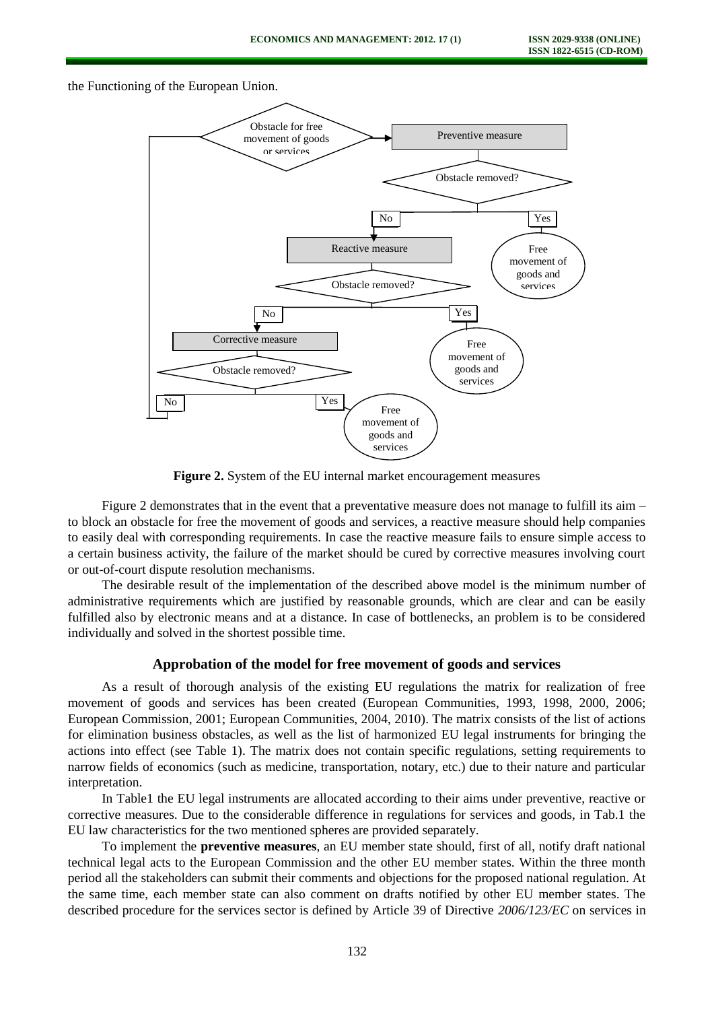the Functioning of the European Union.



**Figure 2.** System of the EU internal market encouragement measures

Figure 2 demonstrates that in the event that a preventative measure does not manage to fulfill its aim – to block an obstacle for free the movement of goods and services, a reactive measure should help companies to easily deal with corresponding requirements. In case the reactive measure fails to ensure simple access to a certain business activity, the failure of the market should be cured by corrective measures involving court or out-of-court dispute resolution mechanisms.

The desirable result of the implementation of the described above model is the minimum number of administrative requirements which are justified by reasonable grounds, which are clear and can be easily fulfilled also by electronic means and at a distance. In case of bottlenecks, an problem is to be considered individually and solved in the shortest possible time.

## **Approbation of the model for free movement of goods and services**

As a result of thorough analysis of the existing EU regulations the matrix for realization of free movement of goods and services has been created (European Communities, 1993, 1998, 2000, 2006; European Commission, 2001; European Communities, 2004, 2010). The matrix consists of the list of actions for elimination business obstacles, as well as the list of harmonized EU legal instruments for bringing the actions into effect (see Table 1). The matrix does not contain specific regulations, setting requirements to narrow fields of economics (such as medicine, transportation, notary, etc.) due to their nature and particular interpretation.

In Table1 the EU legal instruments are allocated according to their aims under preventive, reactive or corrective measures. Due to the considerable difference in regulations for services and goods, in Tab.1 the EU law characteristics for the two mentioned spheres are provided separately.

To implement the **preventive measures**, an EU member state should, first of all, notify draft national technical legal acts to the European Commission and the other EU member states. Within the three month period all the stakeholders can submit their comments and objections for the proposed national regulation. At the same time, each member state can also comment on drafts notified by other EU member states. The described procedure for the services sector is defined by Article 39 of Directive *2006/123/EC* on services in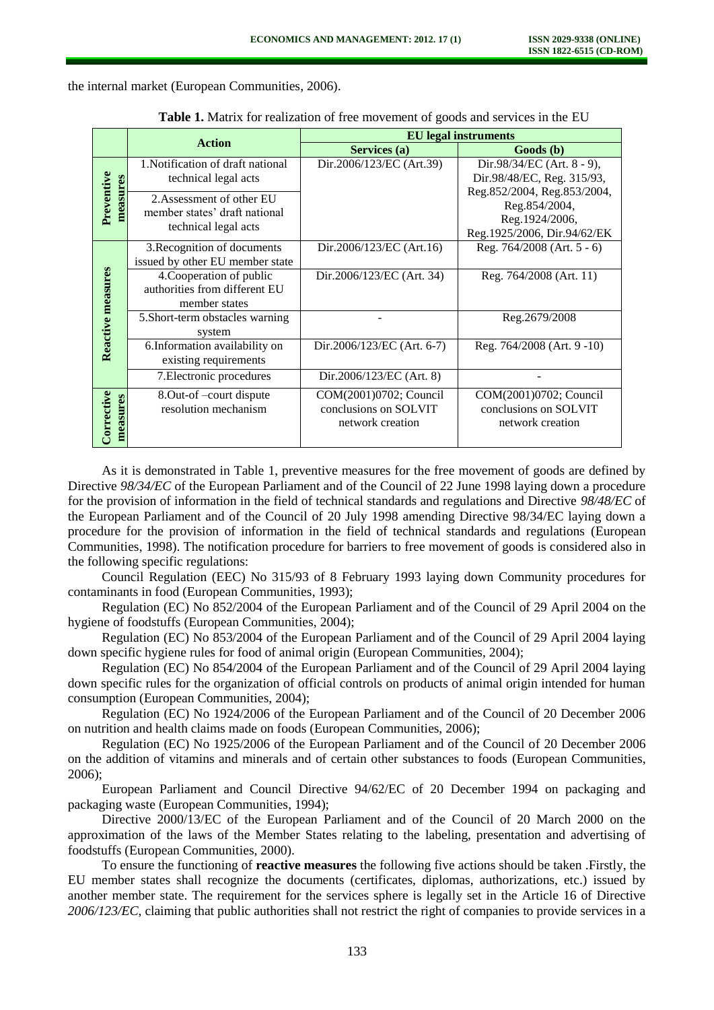the internal market (European Communities, 2006).

|                        | <b>Action</b>                                                                      | <b>EU</b> legal instruments                                         |                                                                                            |
|------------------------|------------------------------------------------------------------------------------|---------------------------------------------------------------------|--------------------------------------------------------------------------------------------|
|                        |                                                                                    | Services (a)                                                        | Goods (b)                                                                                  |
| Preventive<br>measures | 1. Notification of draft national<br>technical legal acts                          | Dir.2006/123/EC (Art.39)                                            | Dir.98/34/EC (Art. $8 - 9$ ),<br>Dir.98/48/EC, Reg. 315/93,<br>Reg.852/2004, Reg.853/2004, |
|                        | 2. Assessment of other EU<br>member states' draft national<br>technical legal acts |                                                                     | Reg.854/2004,<br>Reg.1924/2006,<br>Reg.1925/2006, Dir.94/62/EK                             |
| Reactive measures      | 3. Recognition of documents<br>issued by other EU member state                     | Dir.2006/123/EC (Art.16)                                            | Reg. 764/2008 (Art. 5 - 6)                                                                 |
|                        | 4. Cooperation of public<br>authorities from different EU<br>member states         | Dir.2006/123/EC (Art. 34)                                           | Reg. 764/2008 (Art. 11)                                                                    |
|                        | 5.Short-term obstacles warning<br>system                                           |                                                                     | Reg.2679/2008                                                                              |
|                        | 6.Information availability on<br>existing requirements                             | Dir.2006/123/EC (Art. 6-7)                                          | Reg. 764/2008 (Art. 9 -10)                                                                 |
|                        | 7. Electronic procedures                                                           | Dir.2006/123/EC (Art. 8)                                            |                                                                                            |
| Corrective<br>measures | 8. Out-of-court dispute<br>resolution mechanism                                    | COM(2001)0702; Council<br>conclusions on SOLVIT<br>network creation | COM(2001)0702; Council<br>conclusions on SOLVIT<br>network creation                        |

**Table 1.** Matrix for realization of free movement of goods and services in the EU

As it is demonstrated in Table 1, preventive measures for the free movement of goods are defined by Directive 98/34/EC of the European Parliament and of the Council of 22 June 1998 laying down a procedure for the provision of information in the field of technical standards and regulations and Directive *98/48/EC* of the European Parliament and of the Council of 20 July 1998 amending Directive 98/34/EC laying down a procedure for the provision of information in the field of technical standards and regulations (European Communities, 1998). The notification procedure for barriers to free movement of goods is considered also in the following specific regulations:

Council Regulation (EEC) No 315/93 of 8 February 1993 laying down Community procedures for contaminants in food (European Communities, 1993);

Regulation (EC) No 852/2004 of the European Parliament and of the Council of 29 April 2004 on the hygiene of foodstuffs (European Communities, 2004);

Regulation (EC) No 853/2004 of the European Parliament and of the Council of 29 April 2004 laying down specific hygiene rules for food of animal origin (European Communities, 2004);

Regulation (EC) No 854/2004 of the European Parliament and of the Council of 29 April 2004 laying down specific rules for the organization of official controls on products of animal origin intended for human consumption (European Communities, 2004);

Regulation (EC) No 1924/2006 of the European Parliament and of the Council of 20 December 2006 on nutrition and health claims made on foods (European Communities, 2006);

Regulation (EC) No 1925/2006 of the European Parliament and of the Council of 20 December 2006 on the addition of vitamins and minerals and of certain other substances to foods (European Communities, 2006);

European Parliament and Council Directive 94/62/EC of 20 December 1994 on packaging and packaging waste (European Communities, 1994);

Directive 2000/13/EC of the European Parliament and of the Council of 20 March 2000 on the approximation of the laws of the Member States relating to the labeling, presentation and advertising of foodstuffs (European Communities, 2000).

To ensure the functioning of **reactive measures** the following five actions should be taken .Firstly, the EU member states shall recognize the documents (certificates, diplomas, authorizations, etc.) issued by another member state. The requirement for the services sphere is legally set in the Article 16 of Directive *2006/123/EC*, claiming that public authorities shall not restrict the right of companies to provide services in a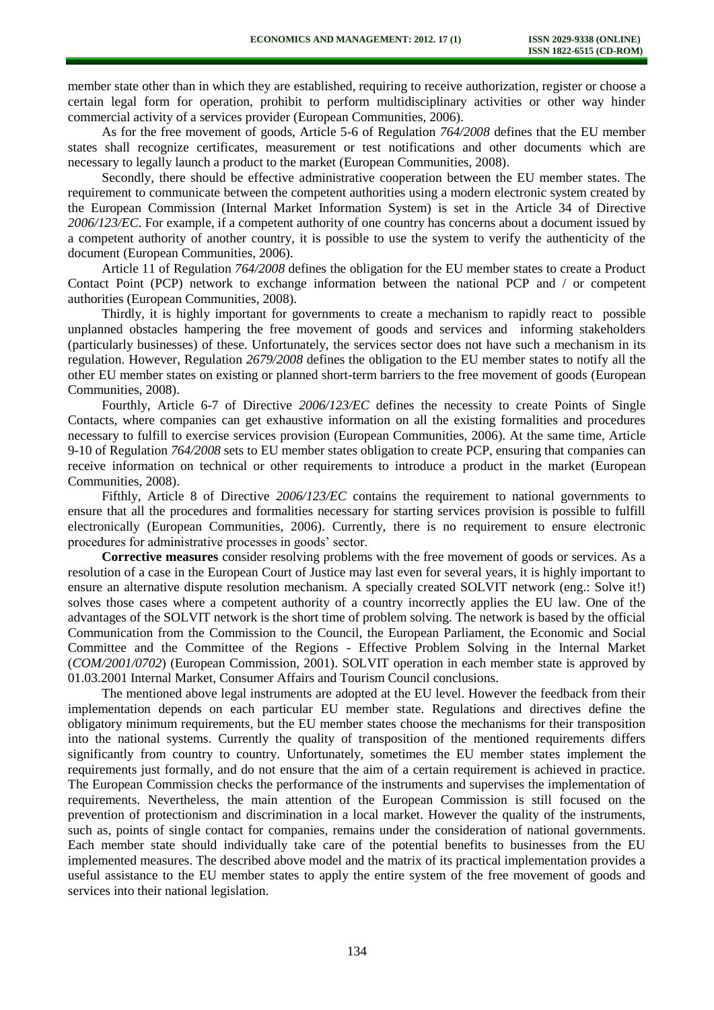member state other than in which they are established, requiring to receive authorization, register or choose a certain legal form for operation, prohibit to perform multidisciplinary activities or other way hinder commercial activity of a services provider (European Communities, 2006).

As for the free movement of goods, Article 5-6 of Regulation *764/2008* defines that the EU member states shall recognize certificates, measurement or test notifications and other documents which are necessary to legally launch a product to the market (European Communities, 2008).

Secondly, there should be effective administrative cooperation between the EU member states. The requirement to communicate between the competent authorities using a modern electronic system created by the European Commission (Internal Market Information System) is set in the Article 34 of Directive *2006/123/EC*. For example, if a competent authority of one country has concerns about a document issued by a competent authority of another country, it is possible to use the system to verify the authenticity of the document (European Communities, 2006).

Article 11 of Regulation *764/2008* defines the obligation for the EU member states to create a Product Contact Point (PCP) network to exchange information between the national PCP and / or competent authorities (European Communities, 2008).

Thirdly, it is highly important for governments to create a mechanism to rapidly react to possible unplanned obstacles hampering the free movement of goods and services and informing stakeholders (particularly businesses) of these. Unfortunately, the services sector does not have such a mechanism in its regulation. However, Regulation *2679/2008* defines the obligation to the EU member states to notify all the other EU member states on existing or planned short-term barriers to the free movement of goods (European Communities, 2008).

Fourthly, Article 6-7 of Directive *2006/123/EC* defines the necessity to create Points of Single Contacts, where companies can get exhaustive information on all the existing formalities and procedures necessary to fulfill to exercise services provision (European Communities, 2006). At the same time, Article 9-10 of Regulation *764/2008* sets to EU member states obligation to create PCP, ensuring that companies can receive information on technical or other requirements to introduce a product in the market (European Communities, 2008).

Fifthly, Article 8 of Directive *2006/123/EC* contains the requirement to national governments to ensure that all the procedures and formalities necessary for starting services provision is possible to fulfill electronically (European Communities, 2006). Currently, there is no requirement to ensure electronic procedures for administrative processes in goods' sector.

**Corrective measures** consider resolving problems with the free movement of goods or services. As a resolution of a case in the European Court of Justice may last even for several years, it is highly important to ensure an alternative dispute resolution mechanism. A specially created SOLVIT network (eng.: Solve it!) solves those cases where a competent authority of a country incorrectly applies the EU law. One of the advantages of the SOLVIT network is the short time of problem solving. The network is based by the official Communication from the Commission to the Council, the European Parliament, the Economic and Social Committee and the Committee of the Regions - Effective Problem Solving in the Internal Market (*COM/2001/0702*) (European Commission, 2001). SOLVIT operation in each member state is approved by 01.03.2001 Internal Market, Consumer Affairs and Tourism Council conclusions.

The mentioned above legal instruments are adopted at the EU level. However the feedback from their implementation depends on each particular EU member state. Regulations and directives define the obligatory minimum requirements, but the EU member states choose the mechanisms for their transposition into the national systems. Currently the quality of transposition of the mentioned requirements differs significantly from country to country. Unfortunately, sometimes the EU member states implement the requirements just formally, and do not ensure that the aim of a certain requirement is achieved in practice. The European Commission checks the performance of the instruments and supervises the implementation of requirements. Nevertheless, the main attention of the European Commission is still focused on the prevention of protectionism and discrimination in a local market. However the quality of the instruments, such as, points of single contact for companies, remains under the consideration of national governments. Each member state should individually take care of the potential benefits to businesses from the EU implemented measures. The described above model and the matrix of its practical implementation provides a useful assistance to the EU member states to apply the entire system of the free movement of goods and services into their national legislation.